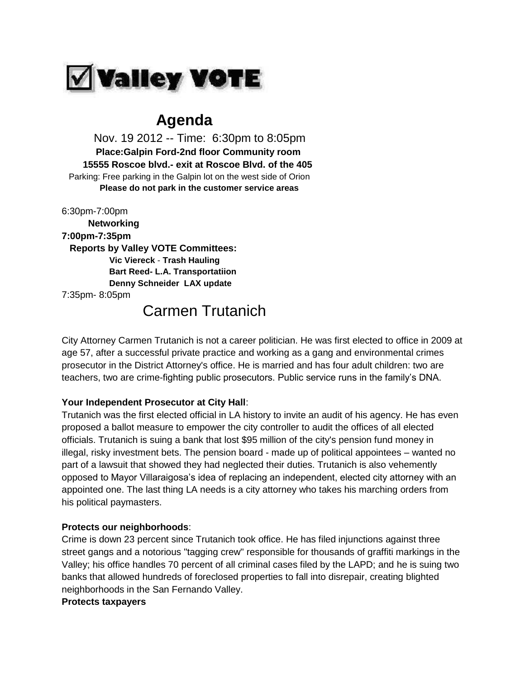

## **Agenda**

 Nov. 19 2012 -- Time: 6:30pm to 8:05pm  **Place:Galpin Ford-2nd floor Community room 15555 Roscoe blvd.- exit at Roscoe Blvd. of the 405** Parking: Free parking in the Galpin lot on the west side of Orion  **Please do not park in the customer service areas**

6:30pm-7:00pm  **Networking 7:00pm-7:35pm Reports by Valley VOTE Committees: Vic Viereck** - **Trash Hauling Bart Reed- L.A. Transportatiion Denny Schneider LAX update** 7:35pm- 8:05pm

# Carmen Trutanich

City Attorney Carmen Trutanich is not a career politician. He was first elected to office in 2009 at age 57, after a successful private practice and working as a gang and environmental crimes prosecutor in the District Attorney's office. He is married and has four adult children: two are teachers, two are crime-fighting public prosecutors. Public service runs in the family's DNA.

## **Your Independent Prosecutor at City Hall**:

Trutanich was the first elected official in LA history to invite an audit of his agency. He has even proposed a ballot measure to empower the city controller to audit the offices of all elected officials. Trutanich is suing a bank that lost \$95 million of the city's pension fund money in illegal, risky investment bets. The pension board - made up of political appointees – wanted no part of a lawsuit that showed they had neglected their duties. Trutanich is also vehemently opposed to Mayor Villaraigosa's idea of replacing an independent, elected city attorney with an appointed one. The last thing LA needs is a city attorney who takes his marching orders from his political paymasters.

## **Protects our neighborhoods**:

Crime is down 23 percent since Trutanich took office. He has filed injunctions against three street gangs and a notorious "tagging crew" responsible for thousands of graffiti markings in the Valley; his office handles 70 percent of all criminal cases filed by the LAPD; and he is suing two banks that allowed hundreds of foreclosed properties to fall into disrepair, creating blighted neighborhoods in the San Fernando Valley.

## **Protects taxpayers**